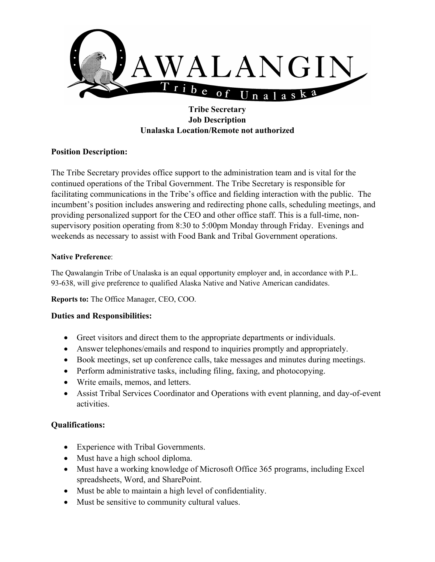

# **Tribe Secretary Job Description Unalaska Location/Remote not authorized**

## **Position Description:**

The Tribe Secretary provides office support to the administration team and is vital for the continued operations of the Tribal Government. The Tribe Secretary is responsible for facilitating communications in the Tribe's office and fielding interaction with the public. The incumbent's position includes answering and redirecting phone calls, scheduling meetings, and providing personalized support for the CEO and other office staff. This is a full-time, nonsupervisory position operating from 8:30 to 5:00pm Monday through Friday. Evenings and weekends as necessary to assist with Food Bank and Tribal Government operations.

#### **Native Preference**:

The Qawalangin Tribe of Unalaska is an equal opportunity employer and, in accordance with P.L. 93-638, will give preference to qualified Alaska Native and Native American candidates.

**Reports to:** The Office Manager, CEO, COO.

### **Duties and Responsibilities:**

- Greet visitors and direct them to the appropriate departments or individuals.
- Answer telephones/emails and respond to inquiries promptly and appropriately.
- Book meetings, set up conference calls, take messages and minutes during meetings.
- Perform administrative tasks, including filing, faxing, and photocopying.
- Write emails, memos, and letters.
- Assist Tribal Services Coordinator and Operations with event planning, and day-of-event activities.

### **Qualifications:**

- Experience with Tribal Governments.
- Must have a high school diploma.
- Must have a working knowledge of Microsoft Office 365 programs, including Excel spreadsheets, Word, and SharePoint.
- Must be able to maintain a high level of confidentiality.
- Must be sensitive to community cultural values.